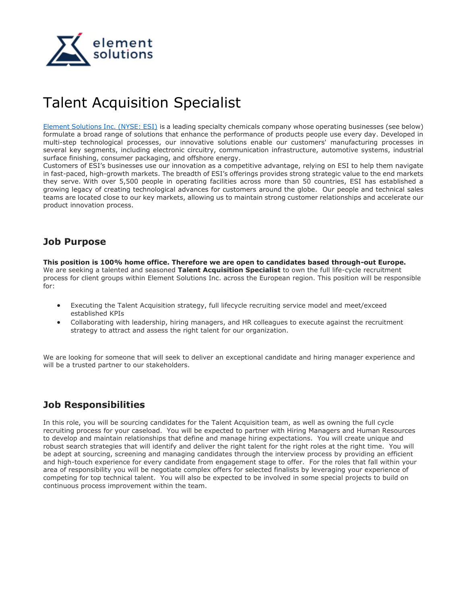

# Talent Acquisition Specialist

[Element Solutions Inc. \(NYSE: ESI\)](https://www.elementsolutionsinc.com/) is a leading specialty chemicals company whose operating businesses (see below) formulate a broad range of solutions that enhance the performance of products people use every day. Developed in multi-step technological processes, our innovative solutions enable our customers' manufacturing processes in several key segments, including electronic circuitry, communication infrastructure, automotive systems, industrial surface finishing, consumer packaging, and offshore energy.

Customers of ESI's businesses use our innovation as a competitive advantage, relying on ESI to help them navigate in fast-paced, high-growth markets. The breadth of ESI's offerings provides strong strategic value to the end markets they serve. With over 5,500 people in operating facilities across more than 50 countries, ESI has established a growing legacy of creating technological advances for customers around the globe. Our people and technical sales teams are located close to our key markets, allowing us to maintain strong customer relationships and accelerate our product innovation process.

## **Job Purpose**

**This position is 100% home office. Therefore we are open to candidates based through-out Europe.** We are seeking a talented and seasoned **Talent Acquisition Specialist** to own the full life-cycle recruitment process for client groups within Element Solutions Inc. across the European region. This position will be responsible for:

- Executing the Talent Acquisition strategy, full lifecycle recruiting service model and meet/exceed established KPIs
- Collaborating with leadership, hiring managers, and HR colleagues to execute against the recruitment strategy to attract and assess the right talent for our organization.

We are looking for someone that will seek to deliver an exceptional candidate and hiring manager experience and will be a trusted partner to our stakeholders.

## **Job Responsibilities**

In this role, you will be sourcing candidates for the Talent Acquisition team, as well as owning the full cycle recruiting process for your caseload. You will be expected to partner with Hiring Managers and Human Resources to develop and maintain relationships that define and manage hiring expectations. You will create unique and robust search strategies that will identify and deliver the right talent for the right roles at the right time. You will be adept at sourcing, screening and managing candidates through the interview process by providing an efficient and high-touch experience for every candidate from engagement stage to offer. For the roles that fall within your area of responsibility you will be negotiate complex offers for selected finalists by leveraging your experience of competing for top technical talent. You will also be expected to be involved in some special projects to build on continuous process improvement within the team.